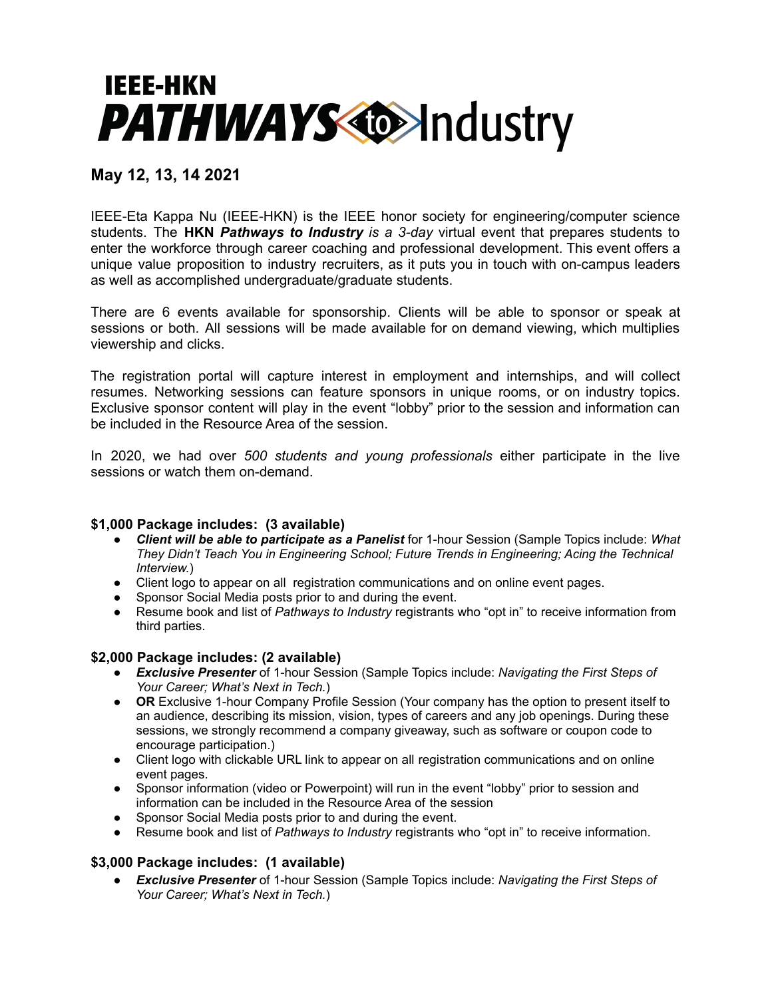

## **May 12, 13, 14 2021**

IEEE-Eta Kappa Nu (IEEE-HKN) is the IEEE honor society for engineering/computer science students. The **HKN** *Pathways to Industry is a 3-day* virtual event that prepares students to enter the workforce through career coaching and professional development. This event offers a unique value proposition to industry recruiters, as it puts you in touch with on-campus leaders as well as accomplished undergraduate/graduate students.

There are 6 events available for sponsorship. Clients will be able to sponsor or speak at sessions or both. All sessions will be made available for on demand viewing, which multiplies viewership and clicks.

The registration portal will capture interest in employment and internships, and will collect resumes. Networking sessions can feature sponsors in unique rooms, or on industry topics. Exclusive sponsor content will play in the event "lobby" prior to the session and information can be included in the Resource Area of the session.

In 2020, we had over *500 students and young professionals* either participate in the live sessions or watch them on-demand.

## **\$1,000 Package includes: (3 available)**

- *Client will be able to participate as a Panelist* for 1-hour Session (Sample Topics include: *What They Didn't Teach You in Engineering School; Future Trends in Engineering; Acing the Technical Interview.*)
- Client logo to appear on all registration communications and on online event pages.
- Sponsor Social Media posts prior to and during the event.
- Resume book and list of *Pathways to Industry* registrants who "opt in" to receive information from third parties.

## **\$2,000 Package includes: (2 available)**

- *Exclusive Presenter* of 1-hour Session (Sample Topics include: *Navigating the First Steps of Your Career; What's Next in Tech.*)
- **OR** Exclusive 1-hour Company Profile Session (Your company has the option to present itself to an audience, describing its mission, vision, types of careers and any job openings. During these sessions, we strongly recommend a company giveaway, such as software or coupon code to encourage participation.)
- Client logo with clickable URL link to appear on all registration communications and on online event pages.
- Sponsor information (video or Powerpoint) will run in the event "lobby" prior to session and information can be included in the Resource Area of the session
- Sponsor Social Media posts prior to and during the event.
- Resume book and list of *Pathways to Industry* registrants who "opt in" to receive information.

## **\$3,000 Package includes: (1 available)**

● *Exclusive Presenter* of 1-hour Session (Sample Topics include: *Navigating the First Steps of Your Career; What's Next in Tech.*)